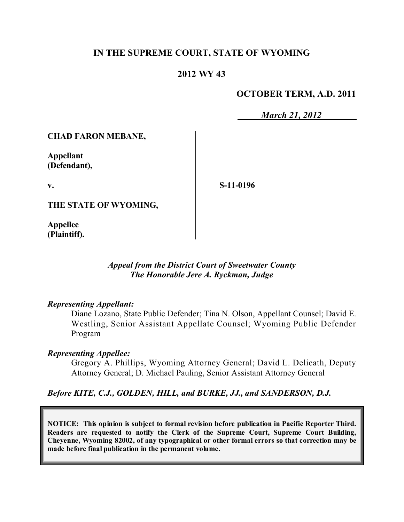## **IN THE SUPREME COURT, STATE OF WYOMING**

### **2012 WY 43**

#### **OCTOBER TERM, A.D. 2011**

*March 21, 2012*

**CHAD FARON MEBANE,**

**Appellant (Defendant),**

**v.**

**S-11-0196**

**THE STATE OF WYOMING,**

**Appellee (Plaintiff).**

> *Appeal from the District Court of Sweetwater County The Honorable Jere A. Ryckman, Judge*

#### *Representing Appellant:*

Diane Lozano, State Public Defender; Tina N. Olson, Appellant Counsel; David E. Westling, Senior Assistant Appellate Counsel; Wyoming Public Defender Program

#### *Representing Appellee:*

Gregory A. Phillips, Wyoming Attorney General; David L. Delicath, Deputy Attorney General; D. Michael Pauling, Senior Assistant Attorney General

#### *Before KITE, C.J., GOLDEN, HILL, and BURKE, JJ., and SANDERSON, D.J.*

**NOTICE: This opinion is subject to formal revision before publication in Pacific Reporter Third. Readers are requested to notify the Clerk of the Supreme Court, Supreme Court Building, Cheyenne, Wyoming 82002, of any typographical or other formal errors so that correction may be made before final publication in the permanent volume.**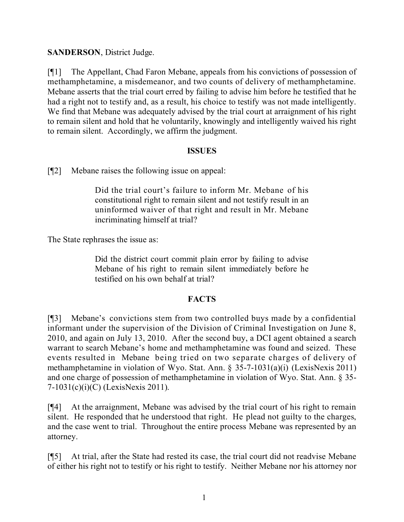## **SANDERSON**, District Judge.

[¶1] The Appellant, Chad Faron Mebane, appeals from his convictions of possession of methamphetamine, a misdemeanor, and two counts of delivery of methamphetamine. Mebane asserts that the trial court erred by failing to advise him before he testified that he had a right not to testify and, as a result, his choice to testify was not made intelligently. We find that Mebane was adequately advised by the trial court at arraignment of his right to remain silent and hold that he voluntarily, knowingly and intelligently waived his right to remain silent. Accordingly, we affirm the judgment.

### **ISSUES**

[¶2] Mebane raises the following issue on appeal:

Did the trial court's failure to inform Mr. Mebane of his constitutional right to remain silent and not testify result in an uninformed waiver of that right and result in Mr. Mebane incriminating himself at trial?

The State rephrases the issue as:

Did the district court commit plain error by failing to advise Mebane of his right to remain silent immediately before he testified on his own behalf at trial?

## **FACTS**

[¶3] Mebane's convictions stem from two controlled buys made by a confidential informant under the supervision of the Division of Criminal Investigation on June 8, 2010, and again on July 13, 2010. After the second buy, a DCI agent obtained a search warrant to search Mebane's home and methamphetamine was found and seized. These events resulted in Mebane being tried on two separate charges of delivery of methamphetamine in violation of Wyo. Stat. Ann. § 35-7-1031(a)(i) (LexisNexis 2011) and one charge of possession of methamphetamine in violation of Wyo. Stat. Ann. § 35- 7-1031(c)(i)(C) (LexisNexis 2011).

[¶4] At the arraignment, Mebane was advised by the trial court of his right to remain silent. He responded that he understood that right. He plead not guilty to the charges, and the case went to trial. Throughout the entire process Mebane was represented by an attorney.

[¶5] At trial, after the State had rested its case, the trial court did not readvise Mebane of either his right not to testify or his right to testify. Neither Mebane nor his attorney nor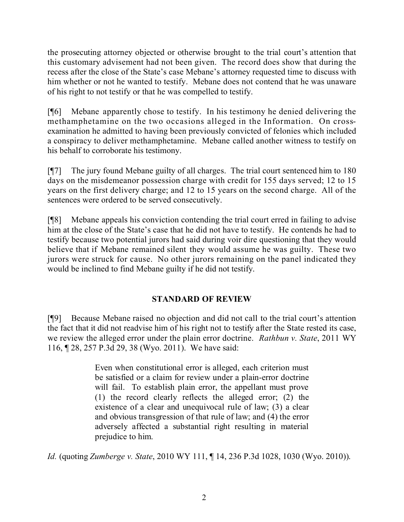the prosecuting attorney objected or otherwise brought to the trial court's attention that this customary advisement had not been given. The record does show that during the recess after the close of the State's case Mebane's attorney requested time to discuss with him whether or not he wanted to testify. Mebane does not contend that he was unaware of his right to not testify or that he was compelled to testify.

[¶6] Mebane apparently chose to testify. In his testimony he denied delivering the methamphetamine on the two occasions alleged in the Information. On crossexamination he admitted to having been previously convicted of felonies which included a conspiracy to deliver methamphetamine. Mebane called another witness to testify on his behalf to corroborate his testimony.

[¶7] The jury found Mebane guilty of all charges. The trial court sentenced him to 180 days on the misdemeanor possession charge with credit for 155 days served; 12 to 15 years on the first delivery charge; and 12 to 15 years on the second charge. All of the sentences were ordered to be served consecutively.

[¶8] Mebane appeals his conviction contending the trial court erred in failing to advise him at the close of the State's case that he did not have to testify. He contends he had to testify because two potential jurors had said during voir dire questioning that they would believe that if Mebane remained silent they would assume he was guilty. These two jurors were struck for cause. No other jurors remaining on the panel indicated they would be inclined to find Mebane guilty if he did not testify.

# **STANDARD OF REVIEW**

[¶9] Because Mebane raised no objection and did not call to the trial court's attention the fact that it did not readvise him of his right not to testify after the State rested its case, we review the alleged error under the plain error doctrine. *Rathbun v. State*, 2011 WY 116, ¶ 28, 257 P.3d 29, 38 (Wyo. 2011). We have said:

> Even when constitutional error is alleged, each criterion must be satisfied or a claim for review under a plain-error doctrine will fail. To establish plain error, the appellant must prove (1) the record clearly reflects the alleged error; (2) the existence of a clear and unequivocal rule of law; (3) a clear and obvious transgression of that rule of law; and (4) the error adversely affected a substantial right resulting in material prejudice to him.

*Id.* (quoting *Zumberge v. State*, 2010 WY 111, ¶ 14, 236 P.3d 1028, 1030 (Wyo. 2010)).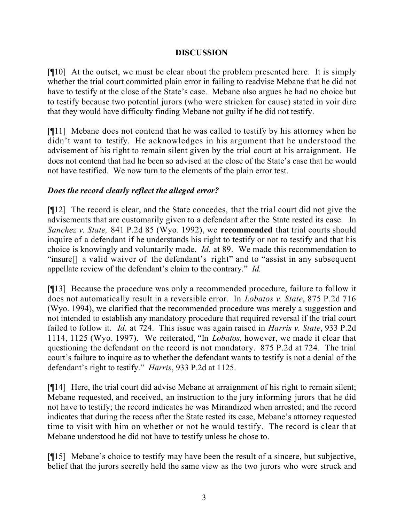## **DISCUSSION**

[¶10] At the outset, we must be clear about the problem presented here. It is simply whether the trial court committed plain error in failing to readvise Mebane that he did not have to testify at the close of the State's case. Mebane also argues he had no choice but to testify because two potential jurors (who were stricken for cause) stated in voir dire that they would have difficulty finding Mebane not guilty if he did not testify.

[¶11] Mebane does not contend that he was called to testify by his attorney when he didn't want to testify. He acknowledges in his argument that he understood the advisement of his right to remain silent given by the trial court at his arraignment. He does not contend that had he been so advised at the close of the State's case that he would not have testified. We now turn to the elements of the plain error test.

## *Does the record clearly reflect the alleged error?*

[¶12] The record is clear, and the State concedes, that the trial court did not give the advisements that are customarily given to a defendant after the State rested its case. In *Sanchez v. State,* 841 P.2d 85 (Wyo. 1992), we **recommended** that trial courts should inquire of a defendant if he understands his right to testify or not to testify and that his choice is knowingly and voluntarily made. *Id.* at 89. We made this recommendation to "insure[] a valid waiver of the defendant's right" and to "assist in any subsequent appellate review of the defendant's claim to the contrary." *Id.*

[¶13] Because the procedure was only a recommended procedure, failure to follow it does not automatically result in a reversible error. In *Lobatos v. State*, 875 P.2d 716 (Wyo. 1994), we clarified that the recommended procedure was merely a suggestion and not intended to establish any mandatory procedure that required reversal if the trial court failed to follow it. *Id.* at 724. This issue was again raised in *Harris v. State*, 933 P.2d 1114, 1125 (Wyo. 1997). We reiterated, "In *Lobatos*, however, we made it clear that questioning the defendant on the record is not mandatory. 875 P.2d at 724. The trial court's failure to inquire as to whether the defendant wants to testify is not a denial of the defendant's right to testify." *Harris*, 933 P.2d at 1125.

[¶14] Here, the trial court did advise Mebane at arraignment of his right to remain silent; Mebane requested, and received, an instruction to the jury informing jurors that he did not have to testify; the record indicates he was Mirandized when arrested; and the record indicates that during the recess after the State rested its case, Mebane's attorney requested time to visit with him on whether or not he would testify. The record is clear that Mebane understood he did not have to testify unless he chose to.

[¶15] Mebane's choice to testify may have been the result of a sincere, but subjective, belief that the jurors secretly held the same view as the two jurors who were struck and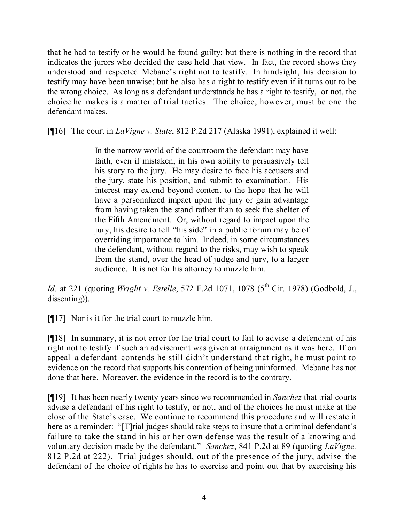that he had to testify or he would be found guilty; but there is nothing in the record that indicates the jurors who decided the case held that view. In fact, the record shows they understood and respected Mebane's right not to testify. In hindsight, his decision to testify may have been unwise; but he also has a right to testify even if it turns out to be the wrong choice. As long as a defendant understands he has a right to testify, or not, the choice he makes is a matter of trial tactics. The choice, however, must be one the defendant makes.

[¶16] The court in *LaVigne v. State*, 812 P.2d 217 (Alaska 1991), explained it well:

In the narrow world of the courtroom the defendant may have faith, even if mistaken, in his own ability to persuasively tell his story to the jury. He may desire to face his accusers and the jury, state his position, and submit to examination. His interest may extend beyond content to the hope that he will have a personalized impact upon the jury or gain advantage from having taken the stand rather than to seek the shelter of the Fifth Amendment. Or, without regard to impact upon the jury, his desire to tell "his side" in a public forum may be of overriding importance to him. Indeed, in some circumstances the defendant, without regard to the risks, may wish to speak from the stand, over the head of judge and jury, to a larger audience. It is not for his attorney to muzzle him.

*Id.* at 221 (quoting *Wright v. Estelle*, 572 F.2d 1071, 1078 (5 th Cir. 1978) (Godbold, J., dissenting)).

[¶17] Nor is it for the trial court to muzzle him.

[¶18] In summary, it is not error for the trial court to fail to advise a defendant of his right not to testify if such an advisement was given at arraignment as it was here. If on appeal a defendant contends he still didn't understand that right, he must point to evidence on the record that supports his contention of being uninformed. Mebane has not done that here. Moreover, the evidence in the record is to the contrary.

[¶19] It has been nearly twenty years since we recommended in *Sanchez* that trial courts advise a defendant of his right to testify, or not, and of the choices he must make at the close of the State's case. We continue to recommend this procedure and will restate it here as a reminder: "[T]rial judges should take steps to insure that a criminal defendant's failure to take the stand in his or her own defense was the result of a knowing and voluntary decision made by the defendant." *Sanchez*, 841 P.2d at 89 (quoting *LaVigne,* 812 P.2d at 222). Trial judges should, out of the presence of the jury, advise the defendant of the choice of rights he has to exercise and point out that by exercising his